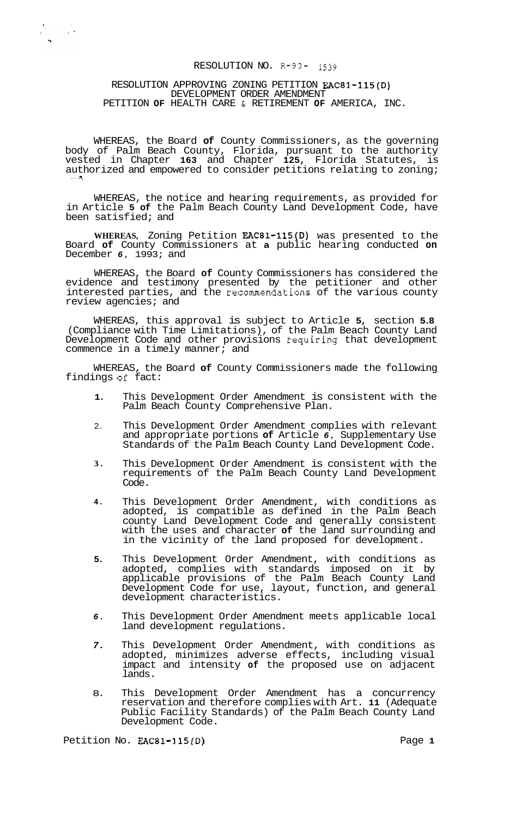# RESOLUTION NO. **R-93-** 1539

#### RESOLUTION APPROVING ZONING PETITION EAC81-115(D) DEVELOPMENT ORDER AMENDMENT PETITION **OF** HEALTH CARE & RETIREMENT **OF** AMERICA, INC.

 $\frac{1}{2} \left( \frac{1}{2} \right) = \frac{1}{2} \left( \frac{1}{2} \right)$ 

WHEREAS, the Board **of** County Commissioners, as the governing body of Palm Beach County, Florida, pursuant to the authority vested in Chapter **163** and Chapter **125,** Florida Statutes, is authorized and empowered to consider petitions relating to zoning;

WHEREAS, the notice and hearing requirements, as provided for in Article **5 of** the Palm Beach County Land Development Code, have been satisfied; and

**WHEREAS,** Zoning Petition EAC81-115(D) was presented to the Board **of** County Commissioners at **a** public hearing conducted **on**  December *6,* 1993; and

WHEREAS, the Board **of** County Commissioners has considered the evidence and testimony presented by the petitioner and other interested parties, and the recommendations of the various county review agencies; and

WHEREAS, this approval is subject to Article **5,** section **5.8**  (Compliance with Time Limitations), of the Palm Beach County Land Development Code and other provisions requiring that development commence in a timely manner; and

WHEREAS, the Board **of** County Commissioners made the following findings **of** fact:

- **1.**  This Development Order Amendment is consistent with the Palm Beach County Comprehensive Plan.
- 2. This Development Order Amendment complies with relevant and appropriate portions **of** Article *6,* Supplementary Use Standards of the Palm Beach County Land Development Code.
- **3.**  This Development Order Amendment is consistent with the requirements of the Palm Beach County Land Development Code.
- **4.**  This Development Order Amendment, with conditions as adopted, is compatible as defined in the Palm Beach county Land Development Code and generally consistent with the uses and character **of** the land surrounding and in the vicinity of the land proposed for development.
- **5.**  This Development Order Amendment, with conditions as adopted, complies with standards imposed on it by applicable provisions of the Palm Beach County Land Development Code for use, layout, function, and general development characteristics.
- *6.*  This Development Order Amendment meets applicable local land development regulations.
- *7.*  This Development Order Amendment, with conditions as adopted, minimizes adverse effects, including visual impact and intensity **of** the proposed use on adjacent lands.
- 8. This Development Order Amendment has a concurrency reservation and therefore complies with Art. **11** (Adequate Public Facility Standards) of the Palm Beach County Land Development Code.

Petition No. **EAC81-115(D)** Page 1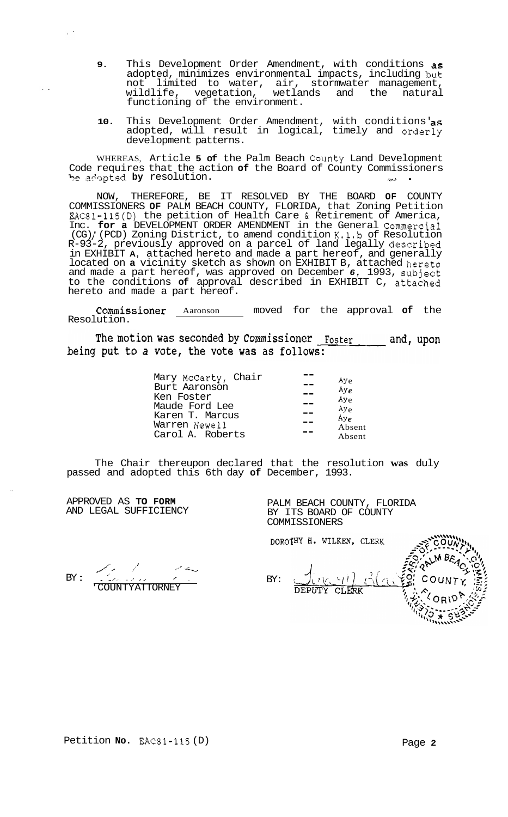- **9.** This Development Order Amendment, with conditions as adopted, minimizes environmental impacts, including but<br>not limited to water, air, stormwater management, not limited to water, air, stormwater management, wetlands and the natural functioning of the environment.
- **10.** This Development Order Amendment, with conditions' as adopted, will result in logical, timely and orderly development patterns.

WHEREAS, Article **5 of** the Palm Beach County Land Development Code requires that the action **of** the Board of County Commissioners be adopted by resolution.

NOW, THEREFORE, BE IT RESOLVED BY THE BOARD **OF** COUNTY COMMISSIONERS **OF** PALM BEACH COUNTY, FLORIDA, that Zoning Petition EAC81-115(D) the petition of Health Care & Retirement of America, Inc. **for a** DEVELOPMENT ORDER AMENDMENT in the General Commercial (CG) / (PCD) Zoning District, to amend condition K.1.b of Resolution R-93-2, previously approved on a parcel of land legally described in EXHIBIT **A,** attached hereto and made a part hereof, and generally located on **a** vicinity sketch as shown on EXHIBIT B, attached hereto and made a part hereof, was approved on December *6,* 1993, subject to the conditions **of** approval described in EXHIBIT C, attached hereto and made a part hereof.

COmmiSSiOner Aaronson moved for the approval **of** the Resolution.

The motion was seconded by Commissioner Foster and, upon being put to a vote, the vote was as follows:

| Mary McCarty, Chair | Ay <sub>e</sub>  |
|---------------------|------------------|
| Burt Aaronson       | Ay <sub>e</sub>  |
| Ken Foster          | Ay <sub>e</sub>  |
| Maude Ford Lee      | Ay <sub>e</sub>  |
| Karen T. Marcus     | Avg <sub>e</sub> |
| Warren Newell       | Absent           |
| Carol A. Roberts    | Absent           |
|                     |                  |

The Chair thereupon declared that the resolution **was** duly passed and adopted this 6th day **of** December, 1993.

APPROVED AS **TO FORM**  AND LEGAL SUFFICIENCY

PALM BEACH COUNTY, FLORIDA BY ITS BOARD OF COUNTY COMMISSIONERS

BY : / ,,' '- -i-, . - - *1..* . .' *I* ,. ', 'COUNTY ATTORNEY

DOROTHY H. WILKEN, CLERK BY: **CLERK**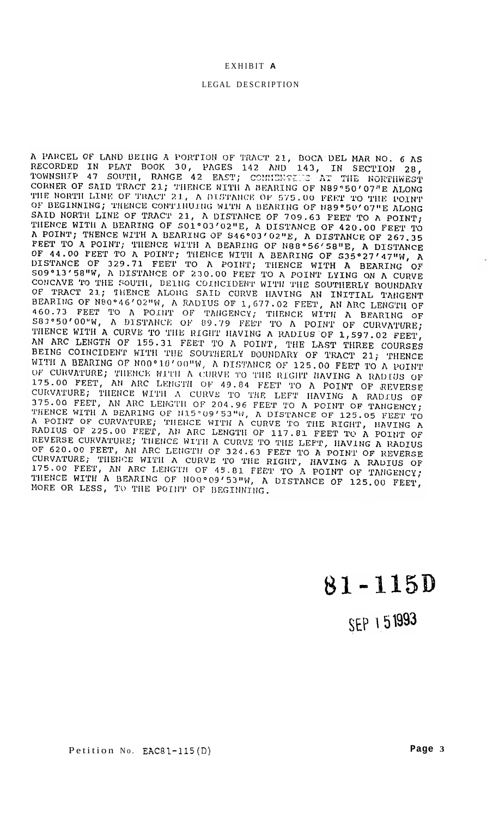# EXHIBIT **A**

# LEGAL DESCRIPTION

A PARCEL OF LAND BEING A PORTION OF TRACT 21, BOCA DEL MAR NO. 6 AS RECORDED IN PLAT BOOK 30, PAGES 142 AND 143, IN SECTION 28, TOWNSHIP 47 SOUTH, RANGE 42 EAST; COMMENSELES AT THE NORTHWEST CORNER OF SAID TRACT 21, THENCE WITH A BEARING OF N89°50'07"E ALONG<br>THE NORTH LINE OF TRACT 21, A DISTANCE OF 575.00 FEET TO THE POINT OF BEGINNING; THENCE CONTINUING WITH A BEARING OF N89°50'07"E ALONG SAID NORTH LINE OF TRACT 21, A DISTANCE OF 709.63 FEET TO A POINT; THENCE WITH A BEARING OF SO1°03'02"E, A DISTANCE OF 420.00 FEET TO THENCE WITH A BEARING OF SO1°03'02"E, A DISTANCE OF 420.00 FEET TO A POINT; THENCE WITH A BEARING OF S46°03'02"E, A DISTANCE OF 267.35 R FOINT, INENCE WITH A BEARING OF S46°03'02"E, A DISTANCE OF 267.35<br>FEET TO A POINT; THENCE WITH A BEARING OF N88°56'58"E, A DISTANCE OF 44.00 FEET TO A POINT; THENCE WITH A BEARING OF S35°27'47"W, A DISTANCE OF 329.71 FEET TO A POINT; THENCE WITH A BEARING OF DISTANCE OF 329.71 FEET TO A POINT; THENCE WITH A BEARING OF S09°13'58"W, A DISTANCE OF 230.00 FEET TO A POINT LYING ON A CURVE CONCAVE TO THE SOUTH, BEING COINCIDENT WITH THE SOUTHERLY BOUNDARY OF TRACT 21; THENCE ALONG S 460.73 FEET TO A POINT OF TANGENCY; THENCE WITH A BEARING OF S83°50'00"W, A DISTANCE OF 89.79 FEET TO A POINT OF CURVATURE; THENCE WITH A CURVE TO THE RIGHT HAVING A RADIUS OF 1,597.02 FEET, AN ARC LENGTH OF 155.31 FEET TO A POINT, THE LAST THREE COURSES BEING COINCIDENT WITH THE SOUTHERLY BOUNDARY OF TRACT 21; THENCE WITH A BEARING OF NOO°10'00"W, A DISTANCE OF 125.00 FEET TO A POINT OF CURVATURE; THENCE WITH A CURVE TO THE RIGHT HAVING A RADIUS OF 175.00 FEET, AN ARC LENGTH OF 49.84 FEET TO A POINT OF REVERSE CURVATURE; THENCE WITH A CURVE TO THE LEFT HAVING A RADIUS OF 375.00 FEET, AN ARC LENGTH OF 204.96 FEET TO A POINT OF TANGENCY; 375.00 FEET, AN ARC LENGTH OF 204.96 FEET TO A POINT OF TANGENCY;<br>THENCE WITH A BEARING OF N15°09'53"W, A DISTANCE OF 125.05 FEET TO<br>A POINT OF CURVATURE; THENCE WITH A CURVE TO THE RIGHT, HAVING A<br>RADIUS OF 225.00 FEET, A REVERSE CURVATURE; THENCE WITH A CURVE TO THE LEFT, HAVING A RADIUS<br>OF 620.00 FEET, AN ARC LENGTH OF 324.63 FEET TO A POINT OF REVERSE<br>CURVATURE; THENCE WITH A CURVE TO THE RIGHT, HAVING A RADIUS OF<br>CURVATURE; THENCE WITH 175.00 FEET, AN ARC LENGTH OF 45.81 FEET TO A POINT OF TANGENCY;<br>THENCE WITH A BEARING OF N00°09'53"W, A DISTANCE OF 125.00 FEET,<br>MORE OR LESS TO THE POINT OF PECINITIE MORE OR LESS, TO THE POINT OF BEGINNING.

81-115D

SEP 151993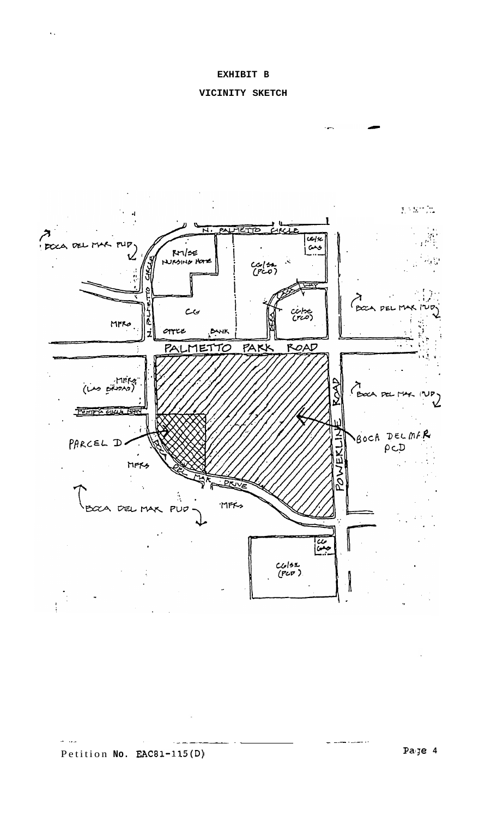..





- .~ . \_\_ ~ . .

- -.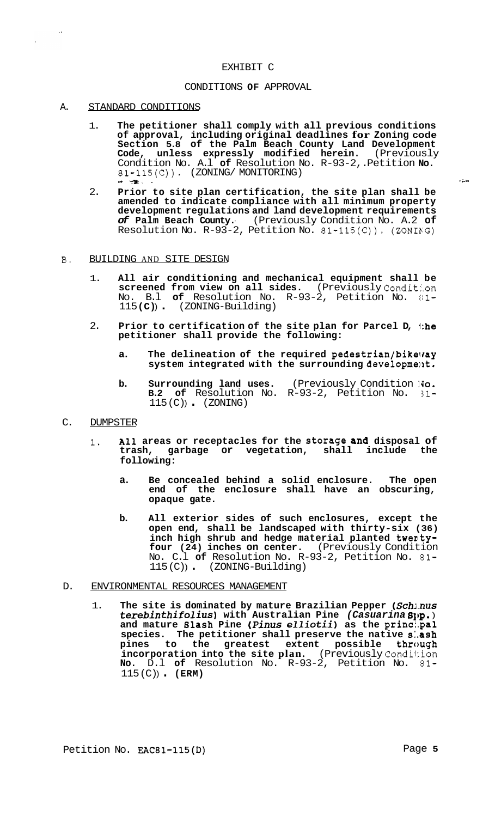#### EXHIBIT C

#### CONDITIONS **OF** APPROVAL

A. STANDARD CONDITIONS

 $\bar{\Delta}$ 

- 1. **The petitioner shall comply with all previous conditions of approval, including original deadlines for Zoning code Section 5.8 of the Palm Beach County Land Development Code, unless expressly modified herein.** (Previously Condition No. A.l **of** Resolution No. R-93-2,. Petition **No.**  81-115(C)). (ZONING/ MONITORING) .\* .?at. - **r&\***
- 2. **Prior to site plan certification, the site plan shall be amended to indicate compliance with all minimum property development regulations and land development requirements**  *of* **Palm Beach County.-** (Previously Condition No. A.2 **of**  Resolution No.  $R-93-2$ , Petition No.  $81-115(C)$ ). (ZONING)
- **B.** BUILDING AND SITE DESIGN
	- 1. **All air conditioning and mechanical equipment shall be screened from view on all sides.** (Previously Conditl.on No. B.l **of** Resolution No. R-93-2, Petition No. til-<sup>115</sup>**(C)** ) . (ZONING-Building)
	- 2. **Prior to certification of the site plan for Parcel D, 1:he petitioner shall provide the following:** 
		- a. The delineation of the required pedestrian/bikeway system integrated with the surrounding development.
		- **b.** Surrounding land uses. (Previously Condition No.<br>**B.2 of** Resolution No. R-93-2, Petition No. 31-**B.2 of** Resolution No. R-93-2, Petition No.  $115 (C))$  (ZONING)
- C. DUMPSTER
	- 1. **All areas or receptacles for the storage and disposal of trash, garbage or vegetation, shall include the following:** 
		- **a. Be concealed behind a solid enclosure. The open end of the enclosure shall have an obscuring, opaque gate.**
		- **b. All exterior sides of such enclosures, except the open end, shall be landscaped with thirty-six (36)**  inch high shrub and hedge material planted twenty**four (24) inches on center.** (Previously Condition No. C.l **of** Resolution No. R-93-2, Petition No. 81- 115 (C) ) . (ZONING-Building)
- D. ENVIRONMENTAL RESOURCES MANAGEMENT
	- 1. **The site is dominated by mature Brazilian Pepper** *(Schj.nus terebinthifolius)* **with Australian Pine** *(Casuarina* **81,~.** ) **and mature Blash Pine** *(Pinus elliotii)* **as the princ:.pal species. The petitioner shall preserve the native s:.ash pines to the greatest extent possible through incorporation into the site plan.** (Previously Condition **No.** D.l **of** Resolution No. R-93-2, Petition No. 81- 115 (C)) **(ERM)**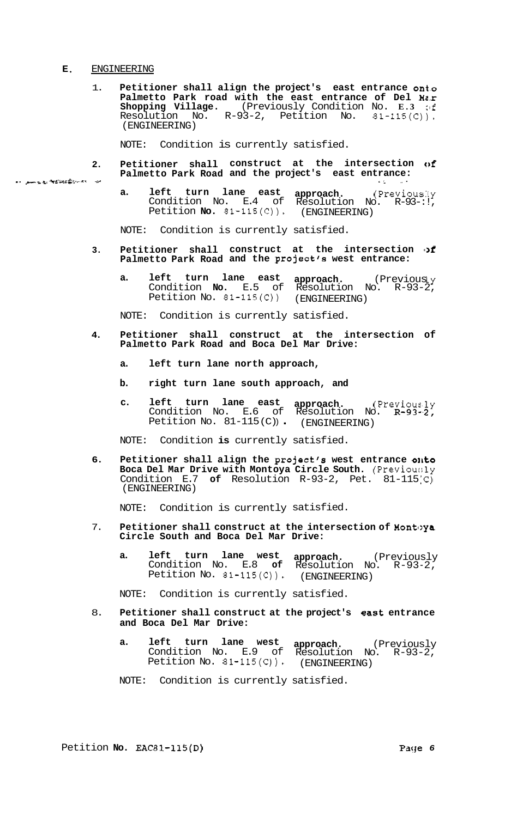#### **E.** ENGINEERING

1. **Petitioner shall align the project's east entrance ont.0 Palmetto Park road with the east entrance of Del M2.r Shopping Village.** (Previously Condition No. **E.3 clf**  Resolution No. R-93-2, Petition No. 81-115(C)). (ENGINEERING)

NOTE: Condition is currently satisfied.

- **2. Petitioner shall construct at the intersection of**  2. Petitioner shall construct at the intersection<br>Palmetto Park Road and the project's east entrance:
	- **a. left turn lane east approach.** (Previously Condition No. E.4 of Resolution No. R-93-:!, Petition **No.** 81-115(C)). (ENGINEERING)

NOTE: Condition is currently satisfied.

- **3. Petitioner shall construct at the intersection I>f Palmetto Park Road and the project's west entrance:** 
	- **a. left turn lane east approach.** (Previously Condition **No.** E.5 of Resolution No. R-93-2, Petition No. 81-115(C)) (ENGINEERING)

NOTE: Condition is currently satisfied.

- **4. Petitioner shall construct at the intersection of Palmetto Park Road and Boca Del Mar Drive:** 
	- **a. left turn lane north approach,**
	- **b. right turn lane south approach, and**
	- **c. left turn lane east approach.** (Previous,ly Condition No. E.6 of Resolution No. R-93-.2, Condition No. E.6 of Resolution No.<br>Petition No. 81-115(C)) (ENGINEERING)

NOTE: Condition **is** currently satisfied.

**6. Petitioner shall align the project's west entrance ollto Boca Del Mar Drive with Montoya Circle South.** (Previou:;ly Condition E.7 **of** Resolution R-93-2, Pet. 81-115'C) (ENGINEERING)

NOTE: Condition is currently satisfied.

- 7. **Petitioner shall construct at the intersection of Montoya Circle South and Boca Del Mar Drive:** 
	- **a. left turn lane west approach.** (Previously Condition No. E.8 **of** Resolution No. R-93-2, Petition No. 81-115(C)). (ENGINEERING)

NOTE: Condition is currently satisfied.

- 8. **Petitioner shall construct at the project's east entrance and Boca Del Mar Drive:** 
	- **a. left turn lane west approach.** (Previously Condition No. E.9 of Resolution No. R-93-2, Petition No. 81-115(C)). (ENGINEERING)
	- NOTE: Condition is currently satisfied.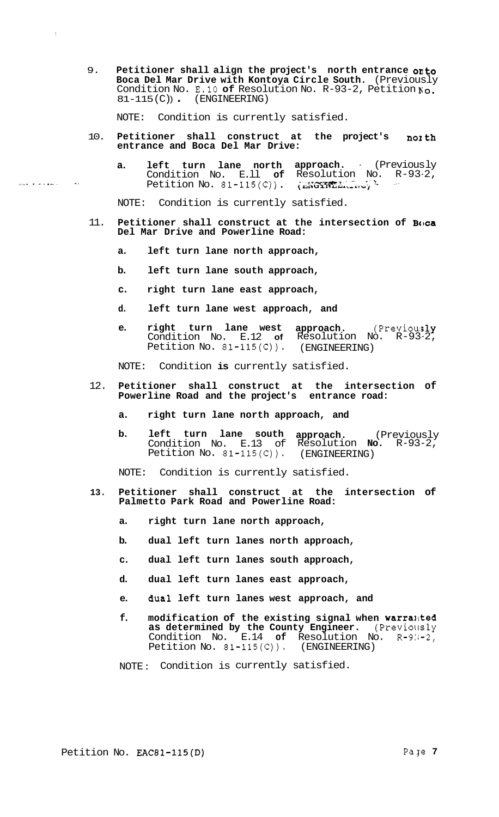9. **Petitioner shall align the project's north entrance omto Boca Del Mar Drive with Kontoya Circle South.** (Previously Condition No. E.10 **of** Resolution No. R-93-2, Petition No.  $81-115 (C))$  (ENGINEERING)

NOTE: Condition is currently satisfied.

 $\Delta$ 

- 10. **Petitioner shall construct at the project's nozth entrance and Boca Del Mar Drive:**
- **a. left turn lane north approach.** . (Previous ly Condition No. E.ll **of** Resolution No. R-93-2, Petition No. 81-115(Cj **j: i&G5i3PT.--'** *h~rx-rvuj* . .- -'~ ,.... . .." .-.. \_. .. .

NOTE: Condition is currently satisfied.

- 11. Petitioner shall construct at the intersection of Boca **Del Mar Drive and Powerline Road:** 
	- **a. left turn lane north approach,**
	- **b. left turn lane south approach,**
	- **c. right turn lane east approach,**
	- **d. left turn lane west approach, and**
	- **e.** right turn lane west approach. (Previously Condition No. E.12 **of** Resolution No. R-93-2, Petition No. 81-115(C)). (ENGINEERING)

NOTE: Condition **is** currently satisfied.

- 12. **Petitioner shall construct at the intersection of Powerline Road and the project's entrance road:** 
	- **a. right turn lane north approach, and**
	- **b. left turn lane south approach.** (Previously Condition No. E.13 of Resolution **No.** R-93-2, Petition No. 81-115(C)). (ENGINEERING)

NOTE: Condition is currently satisfied.

- **13. Petitioner shall construct at the intersection of Palmetto Park Road and Powerline Road:** 
	- **a. right turn lane north approach,**
	- **b. dual left turn lanes north approach,**
	- **c. dual left turn lanes south approach,**
	- **d. dual left turn lanes east approach,**
	- **e. aual left turn lanes west approach, and**
	- f. modification of the existing signal when warranted **as determined by the County Engineer.** (Previously Condition No. E.14 **of** Resolution No. R-9:;-2, Petition No. 81-115(C)). (ENGINEERING)

NOTE : Condition is currently satisfied.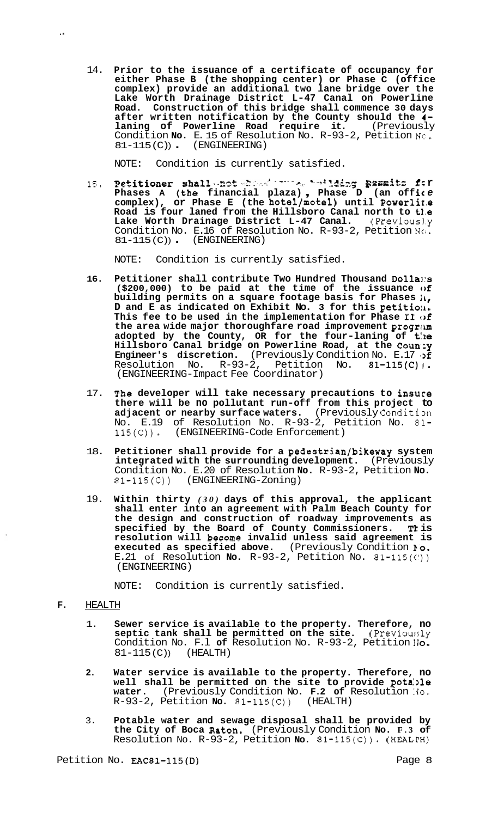14. **Prior to the issuance of a certificate of occupancy for either Phase B (the shopping center) or Phase C (office complex) provide an additional two lane bridge over the Lake Worth Drainage District L-47 Canal on Powerline Road. Construction of this bridge shall commence 30 days after written notification by the County should the 4 laning of Powerline Road require it.** (Previously Condition **No.** E. 15 of Resolution No. R-93-2, Petition **Nc.**   $81-115 (C))$  (ENGINEERING)

NOTE: Condition is currently satisfied.

15. **Petitioner shall** not the test in 1115 **generate** for **phases A** (the financial plaza), Phase D (an office **complex), or Phase E (the hotel/motel) until Powerli1.e Road is four laned from the Hillsboro Canal north to t1.e**  Lake Worth Drainage District L-47 Canal. (Previously Condition No. E.16 of Resolution No. R-93-2, Petition N(1, 81-115(C)) (ENGINEERING)

NOTE: Condition is currently satisfied.

- **16. Petitioner shall contribute Two Hundred Thousand Dolla1:s (\$200,000) to be paid at the time of the issuance cbf building permits on a square footage basis for Phases**  $i\mathbf{k}$ **, D** and E as indicated on Exhibit No. 3 for this petition. **This fee to be used in the implementation for Phase I1 of the area wide major thoroughfare road improvement progrim adopted by the County, OR for the four-laning of t:le**  <code>Hillsboro Canal bridge on Powerline Road, at the Coun:y</code> **Engineer's discretion.** (Previously Condition No. E.17 : Resolution No. R-93-2, Petition No. 81-115(C)1. (ENGINEERING-Impact Fee Coordinator)
- 17. **The developer will take necessary precautions to insure there will be no pollutant run-off from this project to**  adjacent or nearby surface waters. (Previously Condition No. E.19 of Resolution No. R-93-2, Petition No. **81-**  115(C)). (ENGINEERING-Code Enforcement)
- 18. **Petitioner shall provide for a pedestrian/bikeway system integrated with the surrounding development.** (Previously Condition No. E.20 of Resolution **No.** R-93-2, Petition **No.**  81-115(C)) (ENGINEERING-Zoning)
- 19. **Within thirty** *(30)* **days of this approval, the applicant shall enter into an agreement with Palm Beach County for the design and construction of roadway improvements as specified by the Board of County Commissioners. Tk is resolution will become invalid unless said agreement is executed as specified above.** (Previously Condition **lo.**  E.21 of Resolution **No.** R-93-2, Petition No.  $81-115(\vec{c})$ (ENGINEERING)

NOTE: Condition is currently satisfied.

### **F.** HEALTH

..

- 1. **Sewer service is available to the property. Therefore, no septic tank shall be permitted on the site.** (Previou:;ly Condition No. F.1 of Resolution No. R-93-2, Petition *lo*. 81-115(C)) (HEALTH)  $81 - 115$  (C))
- **2. Water service is available to the property. Therefore, no**  well shall be permitted on the site to provide potable **water.** (Previously Condition No. **F.2 of** Resolution **:30.**  R-93-2, Petition **No.** 81-115(C)) (HEALTH)
- 3. **Potable water and sewage disposal shall be provided by the City of Boca Raton.** (Previously Condition **No. F.3 of**  Resolution No. R-93-2, Petition **No.** 81-115(C)). (HEALI'H)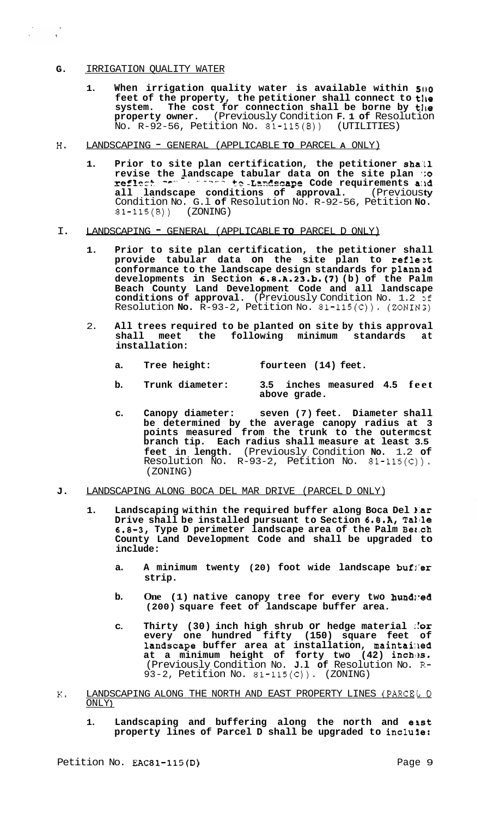# **G.** IRRIGATION QUALITY WATER

 $\begin{array}{ccccc} \sqrt{2} & \sqrt{2} & \sqrt{2} & \sqrt{2} \\ \sqrt{2} & \sqrt{2} & \sqrt{2} & \sqrt{2} & \sqrt{2} \\ \sqrt{2} & \sqrt{2} & \sqrt{2} & \sqrt{2} & \sqrt{2} \\ \sqrt{2} & \sqrt{2} & \sqrt{2} & \sqrt{2} & \sqrt{2} \\ \sqrt{2} & \sqrt{2} & \sqrt{2} & \sqrt{2} & \sqrt{2} \\ \sqrt{2} & \sqrt{2} & \sqrt{2} & \sqrt{2} & \sqrt{2} \\ \sqrt{2} & \sqrt{2} & \sqrt{2} & \sqrt{2} & \sqrt{2} \\ \sqrt{2} & \sqrt$ 

- **1. When irrigation quality water is available within 5(10**  feet of the property, the petitioner shall connect to the system. The cost for connection shall be borne by the **property owner.** (Previously Condition **F. 1 of** Resolution  $No. R-92-56$ , Petition No.  $81-115(8)$
- **H.** LANDSCAPING GENERAL (APPLICABLE **TO** PARCEL **A** ONLY)
	- **1.** Prior to site plan certification, the petitioner shall revise the landscape tabular data on the site plan **:o**<br>reflect research to Landsc<mark>ape</mark> Code requirements and **reflest and in the Landscape Code requirements and all landscape conditions of approval. (Previousty** Condition No. G.l **of** Resolution No. R-92-56, Petition **No.**  81-115(B)) (ZONING)
- I. LANDSCAPING GENERAL (APPLICABLE **TO** PARCEL D ONLY)
	- **1. Prior to site plan certification, the petitioner shall**  provide tabular data on the site plan to reflest **conformance to the landscape design standards for plannsd developments in Section 6.8.A.23.b.(7) (b) of the Palm Beach County Land Development Code and all landscape**  conditions of approval. (Previously Condition No. 1.2 of Resolution **No.** R-93-2, Petition No. 81-115(C)). (ZONINS)
	- 2. **All trees required to be planted on site by this approval shall meet the following minimum standards at installation:** 
		- **a. Tree height: fourteen (14) feet.**
		- **b. Trunk diameter: 3.5 inches measured 4.5 feet above grade.**
		- **c. Canopy diameter: seven (7) feet. Diameter shall be determined by the average canopy radius at 3 points measured from the trunk to the outermcst branch tip. Each radius shall measure at least 3.5 feet in length.** (Previously Condition **No.** 1.2 **of**  Resolution No. R-93-2, Petition No. 81-115(C)). (ZONING)
- **J.** LANDSCAPING ALONG BOCA DEL MAR DRIVE (PARCEL D ONLY)
	- **1. Landscaping within the required buffer along Boca Del 1:ar Drive shall be installed pursuant to Section 6.8.A, Tallle 6.8-3, Type D perimeter landscape area of the Palm Bec.ch County Land Development Code and shall be upgraded to include:** 
		- **a. A minimum twenty (20) foot wide landscape bufl'er strip.**
		- **b.** One (1) native canopy tree for every two hundled **(200) square feet of landscape buffer area.**
		- **C. Thirty (30) inch high shrub or hedge material ::or every one hundred fifty (150) square feet of landscape** buffer area at installation, maintained **at a minimum height of forty two (42) inchlrs.**  (Previously Condition No. **J.l of** Resolution No. R-93-2, Petition No.  $81-115(C)$ ). (ZONING)
- K. LANDSCAPING ALONG THE NORTH AND EAST PROPERTY LINES (PARCELL D ONLY **<sup>1</sup>**
	- 1. Landscaping and buffering along the north and east **property lines of Parcel D shall be upgraded to inclule:**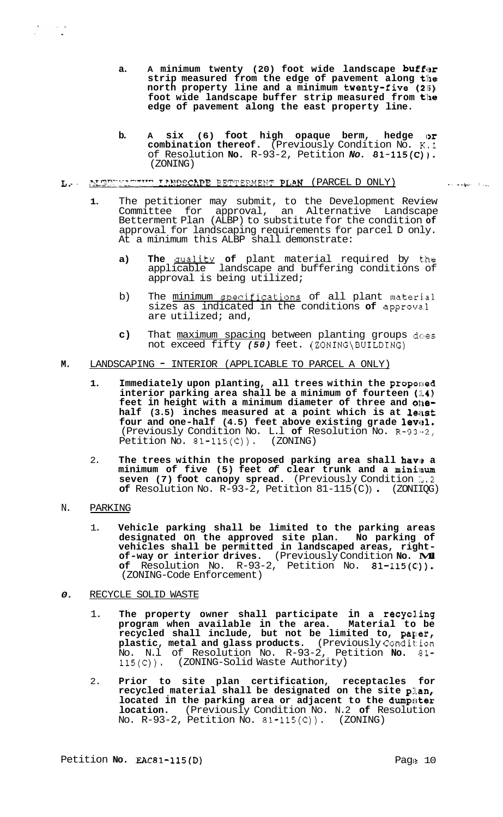- a. A minimum twenty (20) foot wide landscape buffor **strip measured from the edge of pavement along t:he north property line and a minimum twenty-five (21;) foot wide landscape buffer strip measured from the edge of pavement along the east property line.**
- **b. A six (6) foot high opaque berm, hedge lor combination thereof.** (Previously Condition No. **K.1**  of Resolution **No.** R-93-2, Petition *No.* 81-115(C)). (ZONING)

# **L.-** ?LCT"T~'~'.T-"'TT'? **I?.!?T?EC?.??E** EETTE?-!ENT PLAN (PARCEL D ONLY) . . *.\*i.\*..* : , ..

- **1.** The petitioner may submit, to the Development Review Committee for approval, an Alternative Landscape Betterment Plan (ALBP) to substitute for the condition **of**  approval for landscaping requirements for parcel D only. At a minimum this ALBP shall demonstrate:
	- **a) The** aualitv **of** plant material required by t.he applicable landscape and buffering conditions of approval is being utilized;
	- b) The minimum specifications of all plant material sizes as indicated in the conditions **of** approva.1 are utilized; and,
	- **c)** That maximum spacing between planting groups does not exceed fifty (50) feet. (ZONING\BUILDING)

# **M.** LANDSCAPING - INTERIOR (APPLICABLE TO PARCEL A ONLY)

- **1.** Immediately upon planting, all trees within the proposed **interior parking area shall be a minimum of fourteen (L4)**  feet in height with a minimum diameter of three and onehalf (3.5) inches measured at a point which is at least four and one-half (4.5) feet above existing grade level. (Previously Condition No. L.l **of** Resolution No. R-93.'-2, Petition No.  $81-115(C)$ .
- 2. The trees within the proposed parking area shall have a **minimum of five (5) feet** *of* **clear trunk and a mini:lnum seven (7) foot canopy spread.** (Previously Condition *L.*2 **of** Resolution No. R-93-2, Petition 81-115(C) . (ZONIIQG)
- N. PARKING

 $\frac{1}{2}$  ,  $\frac{1}{2}$  ,  $\frac{1}{2}$  ,  $\frac{1}{2}$ 

1. **Vehicle parking shall be limited to the parking areas designated on the approved site plan. No parking of vehicles shall be permitted in landscaped areas, right- of-way or interior drives.** (Previously Condition **No. M.l**  of Resolution No. R-93-2, Petition No. 81-115(C)). (ZONING-Code Enforcement)

# *0.* RECYCLE SOLID WASTE

- 1. **The property owner shall participate in a recyc1,ing program when available in the area. Material to be**  recycled shall include, but not be limited to, paper, **plastic, metal and glass products.** (Previously Condit:ion No. N.l of Resolution No. R-93-2, Petition **No.** 81- 115(C)). (ZONING-Solid Waste Authority)
- 2. **Prior to site plan certification, receptacles for recycled material shall be designated on the site plan,**  located in the parking area or adjacent to the dumpster **location.** (Previously Condition No. N.2 **of** Resolution No. R-93-2, Petition No. 81-115(C)). (ZONING)